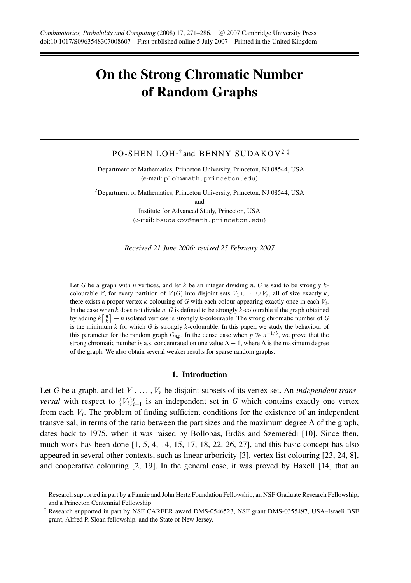# **On the Strong Chromatic Number of Random Graphs**

## PO-SHEN LOH<sup>1†</sup> and BENNY SUDAKOV<sup>2‡</sup>

<sup>1</sup>Department of Mathematics, Princeton University, Princeton, NJ 08544, USA (e-mail: ploh@math.princeton.edu)

<sup>2</sup>Department of Mathematics, Princeton University, Princeton, NJ 08544, USA and

Institute for Advanced Study, Princeton, USA (e-mail: bsudakov@math.princeton.edu)

*Received 21 June 2006; revised 25 February 2007*

Let *G* be a graph with *n* vertices, and let *k* be an integer dividing *n*. *G* is said to be strongly *k*colourable if, for every partition of  $V(G)$  into disjoint sets  $V_1 \cup \cdots \cup V_r$ , all of size exactly *k*, there exists a proper vertex *k*-colouring of *G* with each colour appearing exactly once in each *Vi*. In the case when *k* does not divide *n*, *G* is defined to be strongly *k*-colourable if the graph obtained by adding  $k\left[\frac{n}{k}\right] - n$  isolated vertices is strongly *k*-colourable. The strong chromatic number of *G* is the minimum *k* for which *G* is strongly *k*-colourable. In this paper, we study the behaviour of this parameter for the random graph  $G_{n,p}$ . In the dense case when  $p \gg n^{-1/3}$ , we prove that the strong chromatic number is a.s. concentrated on one value  $\Delta + 1$ , where  $\Delta$  is the maximum degree of the graph. We also obtain several weaker results for sparse random graphs.

## **1. Introduction**

Let G be a graph, and let  $V_1, \ldots, V_r$  be disjoint subsets of its vertex set. An *independent transversal* with respect to  ${V_i}_{i=1}^r$  is an independent set in *G* which contains exactly one vertex from each *Vi*. The problem of finding sufficient conditions for the existence of an independent transversal, in terms of the ratio between the part sizes and the maximum degree ∆ of the graph, dates back to 1975, when it was raised by Bollobás, Erdős and Szemerédi [10]. Since then, much work has been done [1, 5, 4, 14, 15, 17, 18, 22, 26, 27], and this basic concept has also appeared in several other contexts, such as linear arboricity [3], vertex list colouring [23, 24, 8], and cooperative colouring [2, 19]. In the general case, it was proved by Haxell [14] that an

<sup>†</sup> Research supported in part by a Fannie and John Hertz Foundation Fellowship, an NSF Graduate Research Fellowship, and a Princeton Centennial Fellowship.

<sup>‡</sup> Research supported in part by NSF CAREER award DMS-0546523, NSF grant DMS-0355497, USA–Israeli BSF grant, Alfred P. Sloan fellowship, and the State of New Jersey.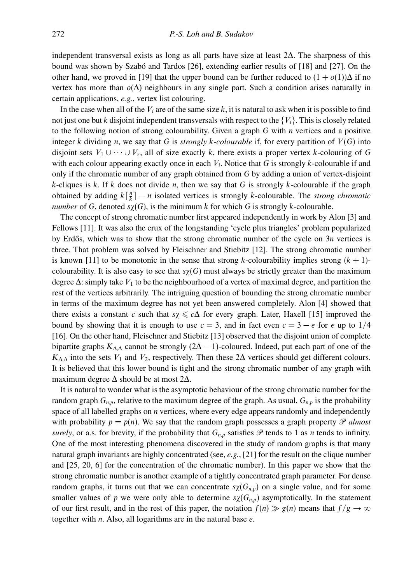independent transversal exists as long as all parts have size at least 2∆. The sharpness of this bound was shown by Szabó and Tardos  $[26]$ , extending earlier results of  $[18]$  and  $[27]$ . On the other hand, we proved in [19] that the upper bound can be further reduced to  $(1 + o(1))\Delta$  if no vertex has more than *o*(∆) neighbours in any single part. Such a condition arises naturally in certain applications, *e.g.*, vertex list colouring.

In the case when all of the  $V_i$  are of the same size  $k$ , it is natural to ask when it is possible to find not just one but *k* disjoint independent transversals with respect to the  ${V_i}$ . This is closely related to the following notion of strong colourability. Given a graph *G* with *n* vertices and a positive integer *k* dividing *n*, we say that *G* is *strongly k-colourable* if, for every partition of  $V(G)$  into disjoint sets  $V_1 \cup \cdots \cup V_r$ , all of size exactly *k*, there exists a proper vertex *k*-colouring of *G* with each colour appearing exactly once in each  $V_i$ . Notice that *G* is strongly *k*-colourable if and only if the chromatic number of any graph obtained from *G* by adding a union of vertex-disjoint *k*-cliques is *k*. If *k* does not divide *n*, then we say that *G* is strongly *k*-colourable if the graph obtained by adding  $k\left[\frac{n}{k}\right] - n$  isolated vertices is strongly *k*-colourable. The *strong chromatic number* of *G*, denoted  $s\chi(G)$ , is the minimum *k* for which *G* is strongly *k*-colourable.

The concept of strong chromatic number first appeared independently in work by Alon [3] and Fellows [11]. It was also the crux of the longstanding 'cycle plus triangles' problem popularized by Erdős, which was to show that the strong chromatic number of the cycle on  $3n$  vertices is three. That problem was solved by Fleischner and Stiebitz [12]. The strong chromatic number is known [11] to be monotonic in the sense that strong  $k$ -colourability implies strong  $(k + 1)$ colourability. It is also easy to see that  $s\chi(G)$  must always be strictly greater than the maximum degree ∆: simply take *V*<sup>1</sup> to be the neighbourhood of a vertex of maximal degree, and partition the rest of the vertices arbitrarily. The intriguing question of bounding the strong chromatic number in terms of the maximum degree has not yet been answered completely. Alon [4] showed that there exists a constant *c* such that  $s\chi \leq c\Delta$  for every graph. Later, Haxell [15] improved the bound by showing that it is enough to use  $c = 3$ , and in fact even  $c = 3 - \epsilon$  for  $\epsilon$  up to 1/4 [16]. On the other hand, Fleischner and Stiebitz [13] observed that the disjoint union of complete bipartite graphs  $K_{\Delta\Delta}$  cannot be strongly (2 $\Delta - 1$ )-coloured. Indeed, put each part of one of the  $K_{\Delta\Delta}$  into the sets  $V_1$  and  $V_2$ , respectively. Then these 2∆ vertices should get different colours. It is believed that this lower bound is tight and the strong chromatic number of any graph with maximum degree ∆ should be at most 2∆.

It is natural to wonder what is the asymptotic behaviour of the strong chromatic number for the random graph  $G_{n,p}$ , relative to the maximum degree of the graph. As usual,  $G_{n,p}$  is the probability space of all labelled graphs on *n* vertices, where every edge appears randomly and independently with probability  $p = p(n)$ . We say that the random graph possesses a graph property  $\mathscr P$  *almost surely*, or a.s. for brevity, if the probability that  $G_{n,p}$  satisfies  $\mathscr P$  tends to 1 as *n* tends to infinity. One of the most interesting phenomena discovered in the study of random graphs is that many natural graph invariants are highly concentrated (see, *e.g.*, [21] for the result on the clique number and [25, 20, 6] for the concentration of the chromatic number). In this paper we show that the strong chromatic number is another example of a tightly concentrated graph parameter. For dense random graphs, it turns out that we can concentrate  $s\chi(G_{n,p})$  on a single value, and for some smaller values of *p* we were only able to determine  $s\chi(G_{n,p})$  asymptotically. In the statement of our first result, and in the rest of this paper, the notation  $f(n) \gg g(n)$  means that  $f/g \to \infty$ together with *n*. Also, all logarithms are in the natural base *e*.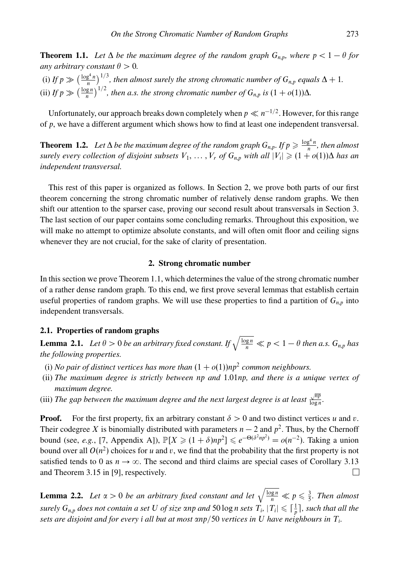**Theorem 1.1.** Let  $\Delta$  be the maximum degree of the random graph  $G_{n,p}$ , where  $p < 1 - \theta$  for *any arbitrary constant*  $\theta > 0$ *.* 

(i) If  $p \gg (\frac{\log^4 n}{n})^{1/3}$ , then almost surely the strong chromatic number of  $G_{n,p}$  equals  $\Delta + 1$ . (ii) *If*  $p \gg (\frac{\log n}{n})^{1/2}$ , then a.s. the strong chromatic number of  $G_{n,p}$  is  $(1 + o(1))\Delta$ .

Unfortunately, our approach breaks down completely when  $p \ll n^{-1/2}$ . However, for this range of *p*, we have a different argument which shows how to find at least one independent transversal.

**Theorem 1.2.** *Let*  $\Delta$  *be the maximum degree of the random graph*  $G_{n,p}$ *. If*  $p \geq \frac{\log^4 n}{n}$ *, then almost surely every collection of disjoint subsets*  $V_1, \ldots, V_r$  *of*  $G_{n,p}$  *with all*  $|V_i| \geqslant (1 + o(1))\Delta$  *has an independent transversal.*

This rest of this paper is organized as follows. In Section 2, we prove both parts of our first theorem concerning the strong chromatic number of relatively dense random graphs. We then shift our attention to the sparser case, proving our second result about transversals in Section 3. The last section of our paper contains some concluding remarks. Throughout this exposition, we will make no attempt to optimize absolute constants, and will often omit floor and ceiling signs whenever they are not crucial, for the sake of clarity of presentation.

## **2. Strong chromatic number**

In this section we prove Theorem 1.1, which determines the value of the strong chromatic number of a rather dense random graph. To this end, we first prove several lemmas that establish certain useful properties of random graphs. We will use these properties to find a partition of  $G_{n,p}$  into independent transversals.

## **2.1. Properties of random graphs**

**Lemma 2.1.** *Let*  $\theta > 0$  *be an arbitrary fixed constant. If*  $\sqrt{\frac{\log n}{n}} \ll p < 1 - \theta$  *then a.s.*  $G_{n,p}$  *has the following properties.*

- (i) *No pair of distinct vertices has more than*  $(1 + o(1))np^2$  *common neighbours.*
- (ii) *The maximum degree is strictly between np and* 1*.*01*np, and there is a unique vertex of maximum degree.*
- (iii) *The gap between the maximum degree and the next largest degree is at least*  $\frac{\sqrt{np}}{\log n}$ .

**Proof.** For the first property, fix an arbitrary constant  $\delta > 0$  and two distinct vertices *u* and *v*. Their codegree *X* is binomially distributed with parameters  $n - 2$  and  $p^2$ . Thus, by the Chernoff bound (see, *e.g.*, [7, Appendix A]),  $\mathbb{P}[X \geq (1 + \delta)np^2] \leq e^{-\Theta(\delta^2 np^2)} = o(n^{-2})$ . Taking a union bound over all  $O(n^2)$  choices for *u* and *v*, we find that the probability that the first property is not satisfied tends to 0 as  $n \to \infty$ . The second and third claims are special cases of Corollary 3.13 and Theorem 3.15 in [9], respectively. П

**Lemma 2.2.** Let  $\alpha > 0$  be an arbitrary fixed constant and let  $\sqrt{\frac{\log n}{n}} \ll p \leq \frac{3}{5}$ . Then almost *surely*  $G_{n,p}$  *does not contain a set*  $U$  *of size*  $\alpha$ *np and*  $50 \log n$  *sets*  $T_i$ ,  $|T_i| \leqslant \lceil \frac{1}{p} \rceil$ , *such that all the sets are disjoint and for every i all but at most αnp/*50 *vertices in U have neighbours in Ti.*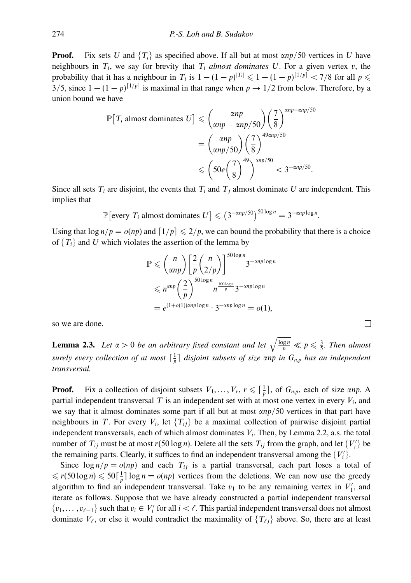**Proof.** Fix sets *U* and  $\{T_i\}$  as specified above. If all but at most  $\alpha np/50$  vertices in *U* have neighbours in  $T_i$ , we say for brevity that  $T_i$  *almost dominates*  $U$ . For a given vertex  $v$ , the probability that it has a neighbour in *T<sub>i</sub>* is  $1 - (1 - p)^{|T_i|} \leq 1 - (1 - p)^{|1/p|} < 7/8$  for all  $p \leq$ 3/5, since  $1 - (1 - p)^{|1/p|}$  is maximal in that range when  $p \to 1/2$  from below. Therefore, by a union bound we have

$$
\mathbb{P}[T_i \text{ almost dominates } U] \leq { \alpha np \choose \alpha np - \alpha np/50 } {7 \choose 8}^{\alpha np - \alpha np/50}
$$

$$
= { \alpha np \choose \alpha np/50 } {7 \choose 8}^{49 \alpha np/50}
$$

$$
\leq { 50e \left( \frac{7}{8} \right)^{49} }^{2np/50} < 3^{-\alpha np/50}.
$$

Since all sets  $T_i$  are disjoint, the events that  $T_i$  and  $T_j$  almost dominate U are independent. This implies that

$$
\mathbb{P}\big[\text{every } T_i \text{ almost dominates } U\big] \leqslant \big(3^{-\alpha np/50}\big)^{50\log n} = 3^{-\alpha np\log n}.
$$

Using that  $\log n/p = o(np)$  and  $\lceil 1/p \rceil \leq 2/p$ , we can bound the probability that there is a choice of  ${T_i}$  and *U* which violates the assertion of the lemma by

$$
\mathbb{P} \leqslant {n \choose \alpha np} \left[ \frac{2}{p} {n \choose 2/p} \right]^{50 \log n} 3^{-\alpha np \log n}
$$
  
\$\leqslant n^{\alpha np} \left( \frac{2}{p} \right)^{50 \log n} n^{\frac{100 \log n}{p}} 3^{-\alpha np \log n}\$  
= e^{(1+o(1))\alpha np \log n} \cdot 3^{-\alpha np \log n} = o(1),

so we are done.

**Lemma 2.3.** *Let*  $\alpha > 0$  *be an arbitrary fixed constant and let*  $\sqrt{\frac{\log n}{n}} \ll p \leq \frac{3}{5}$ *. Then almost surely every collection of at most* <sup>1</sup> *<sup>p</sup> disjoint subsets of size αnp in Gn,p has an independent transversal.*

**Proof.** Fix a collection of disjoint subsets  $V_1, \ldots, V_r$ ,  $r \leq \lceil \frac{1}{p} \rceil$ , of  $G_{n,p}$ , each of size  $\alpha np$ . A partial independent transversal  $T$  is an independent set with at most one vertex in every  $V_i$ , and we say that it almost dominates some part if all but at most *αnp/*50 vertices in that part have neighbours in *T*. For every  $V_i$ , let  $\{T_{ij}\}$  be a maximal collection of pairwise disjoint partial independent transversals, each of which almost dominates *Vi*. Then, by Lemma 2.2, a.s. the total number of  $T_{ij}$  must be at most  $r(50 \log n)$ . Delete all the sets  $T_{ij}$  from the graph, and let  $\{V_i'\}$  be the remaining parts. Clearly, it suffices to find an independent transversal among the  $\{V_i'\}$ .

Since  $\log n/p = o(np)$  and each  $T_{ij}$  is a partial transversal, each part loses a total of  $\leq r(50 \log n) \leq 50 \left(\frac{1}{p}\right) \log n = o(np)$  vertices from the deletions. We can now use the greedy algorithm to find an independent transversal. Take  $v_1$  to be any remaining vertex in  $V'_1$ , and iterate as follows. Suppose that we have already constructed a partial independent transversal  $\{v_1, \ldots, v_{\ell-1}\}\$  such that  $v_i \in V'_i$  for all  $i < \ell$ . This partial independent transversal does not almost dominate  $V_{\ell}$ , or else it would contradict the maximality of  $\{T_{\ell j}\}$  above. So, there are at least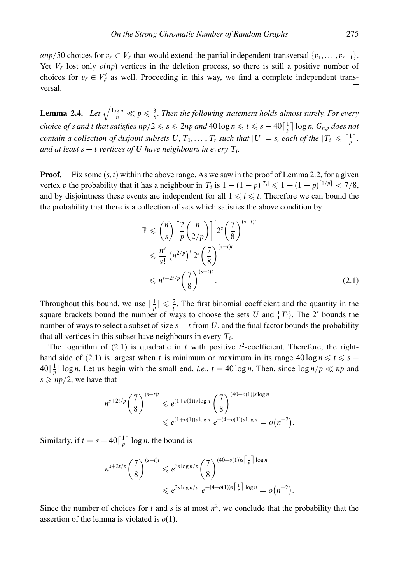$\alpha np/50$  choices for  $v_\ell \in V_\ell$  that would extend the partial independent transversal  $\{v_1, \ldots, v_{\ell-1}\}$ . Yet  $V_{\ell}$  lost only  $o(np)$  vertices in the deletion process, so there is still a positive number of choices for  $v_\ell \in V'_\ell$  as well. Proceeding in this way, we find a complete independent transversal. П

**Lemma 2.4.** Let  $\sqrt{\frac{\log n}{n}} \ll p \leq \frac{3}{5}$ . Then the following statement holds almost surely. For every  $c$ *hoice of s and t that satisfies*  $np/2 \leqslant s \leqslant 2np$  *and*  $40 \log n \leqslant t \leqslant s - 40 \lceil \frac{1}{p} \rceil \log n$ *<i>,*  $G_{n,p}$  *does not contain a collection of disjoint subsets*  $U, T_1, \ldots, T_t$  *such that*  $|U| = s$ *, each of the*  $|T_i| \leq \lceil \frac{1}{p} \rceil$ *, and at least*  $s - t$  *vertices of*  $U$  *have neighbours in every*  $T_i$ *.* 

**Proof.** Fix some  $(s, t)$  within the above range. As we saw in the proof of Lemma 2.2, for a given vertex *v* the probability that it has a neighbour in  $T_i$  is  $1 - (1 - p)^{|T_i|} \leq 1 - (1 - p)^{[1/p]} < 7/8$ , and by disjointness these events are independent for all  $1 \leq i \leq t$ . Therefore we can bound the the probability that there is a collection of sets which satisfies the above condition by

$$
\mathbb{P} \leqslant {n \choose s} \left[ \frac{2}{p} {n \choose 2/p} \right]^t 2^s \left( \frac{7}{8} \right)^{(s-t)t}
$$
\n
$$
\leqslant \frac{n^s}{s!} \left( n^{2/p} \right)^t 2^s \left( \frac{7}{8} \right)^{(s-t)t}
$$
\n
$$
\leqslant n^{s+2t/p} \left( \frac{7}{8} \right)^{(s-t)t} .
$$
\n(2.1)

Throughout this bound, we use  $\lceil \frac{1}{p} \rceil \leq \frac{2}{p}$ . The first binomial coefficient and the quantity in the square brackets bound the number of ways to choose the sets *U* and  $\{T_i\}$ . The 2<sup>*s*</sup> bounds the number of ways to select a subset of size  $s - t$  from U, and the final factor bounds the probability that all vertices in this subset have neighbours in every  $T_i$ .

The logarithm of  $(2.1)$  is quadratic in *t* with positive  $t^2$ -coefficient. Therefore, the righthand side of (2.1) is largest when *t* is minimum or maximum in its range  $40 \log n \le t \le s$  −  $40\left[\frac{1}{p}\right] \log n$ . Let us begin with the small end, *i.e.*,  $t = 40 \log n$ . Then, since  $\log n/p \ll np$  and  $s \geqslant np/2$ , we have that

$$
n^{s+2t/p} \left(\frac{7}{8}\right)^{(s-t)t} \leq e^{(1+o(1))s \log n} \left(\frac{7}{8}\right)^{(40-o(1))s \log n} \leq e^{(1+o(1))s \log n} e^{-(4-o(1))s \log n} = o(n^{-2}).
$$

Similarly, if  $t = s - 40 \left[ \frac{1}{p} \right] \log n$ , the bound is

$$
n^{s+2t/p} \left(\frac{7}{8}\right)^{(s-t)t} \leq e^{3s \log n/p} \left(\frac{7}{8}\right)^{(40-o(1))s\left\lfloor \frac{1}{p} \right\rfloor \log n}
$$
  

$$
\leq e^{3s \log n/p} e^{-(4-o(1))s\left\lceil \frac{1}{p} \right\rceil \log n} = o(n^{-2}).
$$

Since the number of choices for *t* and *s* is at most  $n^2$ , we conclude that the probability that the assertion of the lemma is violated is *o*(1). $\Box$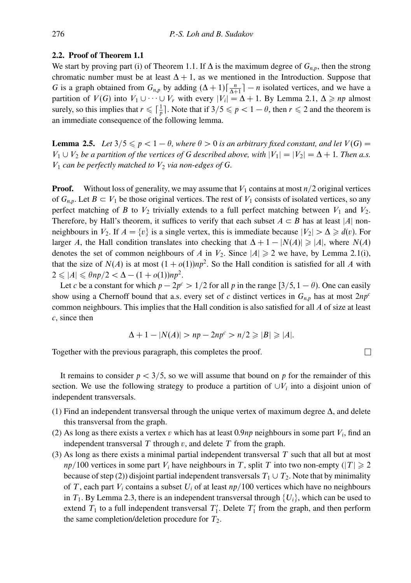## **2.2. Proof of Theorem 1.1**

We start by proving part (i) of Theorem 1.1. If  $\Delta$  is the maximum degree of  $G_{n,p}$ , then the strong chromatic number must be at least  $\Delta + 1$ , as we mentioned in the Introduction. Suppose that *G* is a graph obtained from  $G_{n,p}$  by adding  $(\Delta + 1)\lceil \frac{n}{\Delta + 1} \rceil - n$  isolated vertices, and we have a partition of *V*(*G*) into  $V_1 \cup \cdots \cup V_r$  with every  $|V_i| = \Delta + 1$ . By Lemma 2.1,  $\Delta \ge np$  almost surely, so this implies that  $r \leq \lceil \frac{1}{p} \rceil$ . Note that if  $3/5 \leq p < 1 - \theta$ , then  $r \leq 2$  and the theorem is an immediate consequence of the following lemma.

**Lemma 2.5.** *Let*  $3/5 \leq p < 1 - \theta$ *, where*  $\theta > 0$  *is an arbitrary fixed constant, and let*  $V(G)$  = *V*<sub>1</sub> ∪ *V*<sub>2</sub> *be a partition of the vertices of G described above, with*  $|V_1| = |V_2| = ∆ +1$ *. Then a.s.*  $V_1$  *can be perfectly matched to*  $V_2$  *via non-edges of G.* 

**Proof.** Without loss of generality, we may assume that  $V_1$  contains at most  $n/2$  original vertices of  $G_{n,p}$ . Let  $B \subset V_1$  be those original vertices. The rest of  $V_1$  consists of isolated vertices, so any perfect matching of *B* to  $V_2$  trivially extends to a full perfect matching between  $V_1$  and  $V_2$ . Therefore, by Hall's theorem, it suffices to verify that each subset  $A \subset B$  has at least |*A*| nonneighbours in *V*<sub>2</sub>. If  $A = \{v\}$  is a single vertex, this is immediate because  $|V_2| > \Delta \ge d(v)$ . For larger *A*, the Hall condition translates into checking that  $\Delta + 1 - |N(A)| \ge |A|$ , where  $N(A)$ denotes the set of common neighbours of *A* in  $V_2$ . Since  $|A| \ge 2$  we have, by Lemma 2.1(i), that the size of  $N(A)$  is at most  $(1 + o(1))np^2$ . So the Hall condition is satisfied for all A with  $2 \le |A| \le \theta np/2 < \Delta - (1 + o(1))np^2$ .

Let *c* be a constant for which  $p - 2p^c > 1/2$  for all *p* in the range [3/5, 1 –  $\theta$ ). One can easily show using a Chernoff bound that a.s. every set of *c* distinct vertices in *Gn,p* has at most 2*npc* common neighbours. This implies that the Hall condition is also satisfied for all *A* of size at least *c*, since then

$$
\Delta + 1 - |N(A)| > np - 2np^c > n/2 \geq |B| \geq |A|.
$$

 $\Box$ 

Together with the previous paragraph, this completes the proof.

It remains to consider  $p < 3/5$ , so we will assume that bound on p for the remainder of this section. We use the following strategy to produce a partition of ∪*Vi* into a disjoint union of independent transversals.

- (1) Find an independent transversal through the unique vertex of maximum degree  $\Delta$ , and delete this transversal from the graph.
- (2) As long as there exists a vertex *v* which has at least 0.9*np* neighbours in some part  $V_i$ , find an independent transversal *T* through *v*, and delete *T* from the graph.
- (3) As long as there exists a minimal partial independent transversal *T* such that all but at most *np*/100 vertices in some part  $V_i$  have neighbours in  $T$ , split  $T$  into two non-empty ( $|T| \geq 2$ because of step (2)) disjoint partial independent transversals  $T_1 \cup T_2$ . Note that by minimality of *T*, each part  $V_i$  contains a subset  $U_i$  of at least  $np/100$  vertices which have no neighbours in  $T_1$ . By Lemma 2.3, there is an independent transversal through  $\{U_i\}$ , which can be used to extend  $T_1$  to a full independent transversal  $T_1'$ . Delete  $T_1'$  from the graph, and then perform the same completion/deletion procedure for  $T_2$ .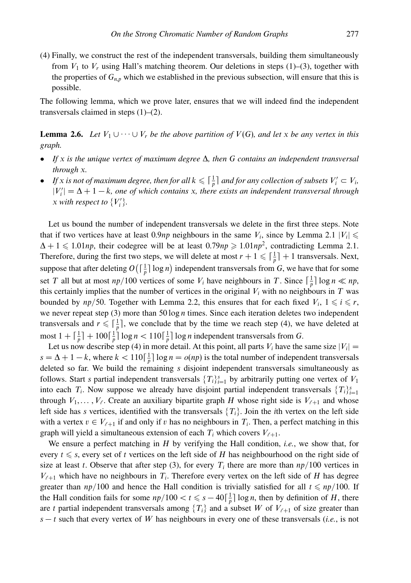(4) Finally, we construct the rest of the independent transversals, building them simultaneously from  $V_1$  to  $V_r$  using Hall's matching theorem. Our deletions in steps (1)–(3), together with the properties of  $G_{n,p}$  which we established in the previous subsection, will ensure that this is possible.

The following lemma, which we prove later, ensures that we will indeed find the independent transversals claimed in steps (1)–(2).

**Lemma 2.6.** *Let*  $V_1 \cup \cdots \cup V_r$  *be the above partition of*  $V(G)$ *, and let x be any vertex in this graph.*

- *If x is the unique vertex of maximum degree* ∆*, then G contains an independent transversal through x.*
- If x is not of maximum degree, then for all  $k \leq \lceil \frac{1}{p} \rceil$  and for any collection of subsets  $V_i' \subset V_i$ ,  $|V'_i| = \Delta + 1 - k$ , one of which contains *x*, there exists an independent transversal through *x* with respect to  $\{V_i'\}$ .

Let us bound the number of independent transversals we delete in the first three steps. Note that if two vertices have at least 0.9*np* neighbours in the same  $V_i$ , since by Lemma 2.1  $|V_i| \leq$  $\Delta + 1 \leq 1.01np$ , their codegree will be at least  $0.79np \geq 1.01np^2$ , contradicting Lemma 2.1. Therefore, during the first two steps, we will delete at most  $r + 1 \leq \lceil \frac{1}{p} \rceil + 1$  transversals. Next, suppose that after deleting  $O\left(\lceil \frac{1}{p}\rceil \log n\right)$  independent transversals from *G*, we have that for some set *T* all but at most  $np/100$  vertices of some  $V_i$  have neighbours in *T*. Since  $\lceil \frac{1}{p} \rceil \log n \ll np$ , this certainly implies that the number of vertices in the original  $V_i$  with no neighbours in  $T$  was bounded by  $np/50$ . Together with Lemma 2.2, this ensures that for each fixed  $V_i$ ,  $1 \leq i \leq r$ , we never repeat step (3) more than 50 log *n* times. Since each iteration deletes two independent transversals and  $r \leq \lceil \frac{1}{p} \rceil$ , we conclude that by the time we reach step (4), we have deleted at most  $1 + \lceil \frac{1}{p} \rceil + 100 \lceil \frac{1}{p} \rceil \log n < 110 \lceil \frac{1}{p} \rceil \log n$  independent transversals from *G*.

Let us now describe step (4) in more detail. At this point, all parts  $V_i$  have the same size  $|V_i|$  =  $s = \Delta + 1 - k$ , where  $k < 110 \left[ \frac{1}{p} \right] \log n = o(np)$  is the total number of independent transversals deleted so far. We build the remaining *s* disjoint independent transversals simultaneously as follows. Start *s* partial independent transversals  $\{T_i\}_{i=1}^s$  by arbitrarily putting one vertex of  $V_1$ into each  $T_i$ . Now suppose we already have disjoint partial independent transversals  $\{T_i\}_{i=1}^s$ through  $V_1, \ldots, V_\ell$ . Create an auxiliary bipartite graph *H* whose right side is  $V_{\ell+1}$  and whose left side has *s* vertices, identified with the transversals  ${T_i}$ . Join the *i*th vertex on the left side with a vertex  $v \in V_{\ell+1}$  if and only if *v* has no neighbours in  $T_i$ . Then, a perfect matching in this graph will yield a simultaneous extension of each  $T_i$  which covers  $V_{\ell+1}$ .

We ensure a perfect matching in *H* by verifying the Hall condition, *i.e.*, we show that, for every  $t \leq s$ , every set of *t* vertices on the left side of *H* has neighbourhood on the right side of size at least *t*. Observe that after step (3), for every  $T_i$  there are more than  $np/100$  vertices in  $V_{\ell+1}$  which have no neighbours in  $T_i$ . Therefore every vertex on the left side of *H* has degree greater than  $np/100$  and hence the Hall condition is trivially satisfied for all  $t \le np/100$ . If the Hall condition fails for some  $np/100 < t \leq s - 40\left[\frac{1}{p}\right] \log n$ , then by definition of *H*, there are *t* partial independent transversals among  ${T_i}$  and a subset *W* of  $V_{\ell+1}$  of size greater than *s* − *t* such that every vertex of *W* has neighbours in every one of these transversals (*i.e.*, is not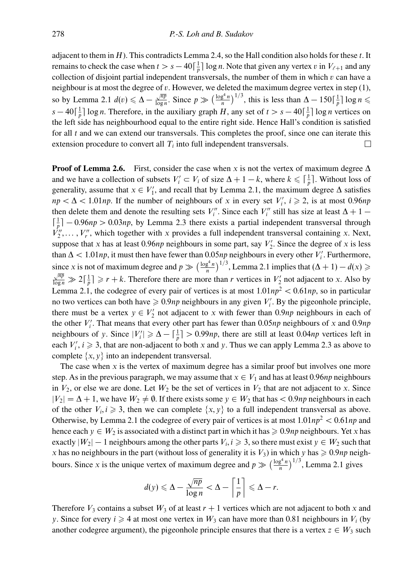adjacent to them in *H*). This contradicts Lemma 2.4, so the Hall condition also holds for these *t*. It remains to check the case when  $t>s-40\left[\frac{1}{p}\right]\log n$ . Note that given any vertex *v* in  $V_{\ell+1}$  and any collection of disjoint partial independent transversals, the number of them in which *v* can have a neighbour is at most the degree of *v*. However, we deleted the maximum degree vertex in step (1), so by Lemma 2.1  $d(v) \le \Delta - \frac{\sqrt{np}}{\log n}$ . Since  $p \gg (\frac{\log^4 n}{n})^{1/3}$ , this is less than  $\Delta - 150\lceil \frac{1}{p} \rceil \log n \le$  $s - 40\left[\frac{1}{p}\right] \log n$ . Therefore, in the auxiliary graph *H*, any set of  $t > s - 40\left[\frac{1}{p}\right] \log n$  vertices on the left side has neighbourhood equal to the entire right side. Hence Hall's condition is satisfied for all *t* and we can extend our transversals. This completes the proof, since one can iterate this extension procedure to convert all  $T_i$  into full independent transversals. П

**Proof of Lemma 2.6.** First, consider the case when *x* is not the vertex of maximum degree  $\Delta$ and we have a collection of subsets  $V_i' \subset V_i$  of size  $\Delta + 1 - k$ , where  $k \leq \lceil \frac{1}{p} \rceil$ . Without loss of generality, assume that  $x \in V'_1$ , and recall that by Lemma 2.1, the maximum degree  $\Delta$  satisfies  $np < \Delta < 1.01np$ . If the number of neighbours of *x* in every set  $V_i'$ ,  $i \ge 2$ , is at most 0.96*np* then delete them and denote the resulting sets  $V_i''$ . Since each  $V_i''$  still has size at least  $\Delta + 1$  –  $\lceil \frac{1}{p} \rceil - 0.96np > 0.03np$ , by Lemma 2.3 there exists a partial independent transversal through  $V_2^{\prime\prime}, \ldots, V_r^{\prime\prime}$ , which together with *x* provides a full independent transversal containing *x*. Next, suppose that *x* has at least 0.96*np* neighbours in some part, say  $V_2'$ . Since the degree of *x* is less than  $\Delta$  < 1.01*np*, it must then have fewer than 0.05*np* neighbours in every other *V*<sup> $\prime$ </sup>. Furthermore, since *x* is not of maximum degree and  $p \gg \left(\frac{\log^4 n}{n}\right)^{1/3}$ , Lemma 2.1 implies that  $(\Delta + 1) - d(x)$  ≥  $\frac{\sqrt{np}}{\log n} \gg 2\lceil \frac{1}{p} \rceil \geqslant r + k$ . Therefore there are more than *r* vertices in  $V_2'$  not adjacent to *x*. Also by Lemma 2.1, the codegree of every pair of vertices is at most  $1.01np^2 < 0.61np$ , so in particular no two vertices can both have  $\geq 0.9np$  neighbours in any given  $V_i'$ . By the pigeonhole principle, there must be a vertex  $y \in V'_2$  not adjacent to *x* with fewer than 0*.9np* neighbours in each of the other *V <sup>i</sup>* . That means that every other part has fewer than 0*.*05*np* neighbours of *x* and 0*.*9*np* neighbours of *y*. Since  $|V_i'| \ge \Delta - \left[\frac{1}{p}\right] > 0.99np$ , there are still at least 0.04*np* vertices left in each  $V_i$ ,  $i \geq 3$ , that are non-adjacent to both *x* and *y*. Thus we can apply Lemma 2.3 as above to complete  $\{x, y\}$  into an independent transversal.

The case when *x* is the vertex of maximum degree has a similar proof but involves one more step. As in the previous paragraph, we may assume that  $x \in V_1$  and has at least 0.96*np* neighbours in  $V_2$ , or else we are done. Let  $W_2$  be the set of vertices in  $V_2$  that are not adjacent to *x*. Since  $|V_2| = \Delta + 1$ , we have  $W_2 \neq \emptyset$ . If there exists some  $y \in W_2$  that has  $\lt 0.9$ *np* neighbours in each of the other  $V_i, i \geq 3$ , then we can complete  $\{x, y\}$  to a full independent transversal as above. Otherwise, by Lemma 2.1 the codegree of every pair of vertices is at most  $1.01np^2 < 0.61np$  and hence each  $y \in W_2$  is associated with a distinct part in which it has  $\geqslant 0.9$ *np* neighbours. Yet *x* has exactly  $|W_2| - 1$  neighbours among the other parts  $V_i, i \geqslant 3$ , so there must exist  $y \in W_2$  such that *x* has no neighbours in the part (without loss of generality it is  $V_3$ ) in which *y* has  $\geq 0.9$ *np* neighbours. Since *x* is the unique vertex of maximum degree and  $p \gg (\frac{\log^4 n}{n})^{1/3}$ , Lemma 2.1 gives

$$
d(y) \le \Delta - \frac{\sqrt{np}}{\log n} < \Delta - \left\lceil \frac{1}{p} \right\rceil \le \Delta - r.
$$

Therefore  $V_3$  contains a subset  $W_3$  of at least  $r + 1$  vertices which are not adjacent to both x and *y*. Since for every  $i \ge 4$  at most one vertex in  $W_3$  can have more than 0.81 neighbours in  $V_i$  (by another codegree argument), the pigeonhole principle ensures that there is a vertex  $z \in W_3$  such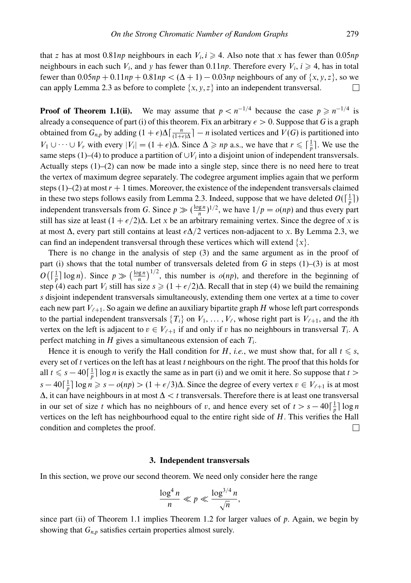that *z* has at most  $0.81np$  neighbours in each  $V_i$ ,  $i \geq 4$ . Also note that *x* has fewer than  $0.05np$ neighbours in each such  $V_i$ , and  $y$  has fewer than 0.11*np*. Therefore every  $V_i$ ,  $i \geq 4$ , has in total fewer than 0*.*05*np* + 0*.*11*np* + 0*.*81*np <* (∆ + 1) − 0*.*03*np* neighbours of any of {*x, y, z*}, so we can apply Lemma 2.3 as before to complete  $\{x, y, z\}$  into an independent transversal.  $\Box$ 

**Proof of Theorem 1.1(ii).** We may assume that  $p < n^{-1/4}$  because the case  $p \ge n^{-1/4}$  is already a consequence of part (i) of this theorem. Fix an arbitrary  $\epsilon > 0$ . Suppose that *G* is a graph obtained from  $G_{n,p}$  by adding  $(1+\epsilon)\Delta\left[\frac{n}{(1+\epsilon)\Delta}\right] - n$  isolated vertices and  $V(G)$  is partitioned into *V*<sub>1</sub> ∪ ··· ∪ *V<sub>r</sub>* with every  $|V_i| = (1 + \epsilon)\Delta$ . Since  $\Delta \ge np$  a.s., we have that  $r \le \lceil \frac{1}{p} \rceil$ . We use the same steps  $(1)$ –(4) to produce a partition of  $\bigcup V_i$  into a disjoint union of independent transversals. Actually steps  $(1)$ – $(2)$  can now be made into a single step, since there is no need here to treat the vertex of maximum degree separately. The codegree argument implies again that we perform steps  $(1)$ – $(2)$  at most  $r + 1$  times. Moreover, the existence of the independent transversals claimed in these two steps follows easily from Lemma 2.3. Indeed, suppose that we have deleted  $O(\lceil \frac{1}{p}\rceil)$ independent transversals from *G*. Since  $p \gg (\frac{\log n}{n})^{1/2}$ , we have  $1/p = o(np)$  and thus every part still has size at least  $(1 + \epsilon/2)\Delta$ . Let *x* be an arbitrary remaining vertex. Since the degree of *x* is at most ∆, every part still contains at least *-*∆*/*2 vertices non-adjacent to *x*. By Lemma 2.3, we can find an independent transversal through these vertices which will extend  $\{x\}$ .

There is no change in the analysis of step (3) and the same argument as in the proof of part (i) shows that the total number of transversals deleted from *G* in steps (1)–(3) is at most  $O(\lceil \frac{1}{p} \rceil \log n)$ . Since  $p \gg (\frac{\log n}{n})^{1/2}$ , this number is  $o(np)$ , and therefore in the beginning of step (4) each part *V<sub>i</sub>* still has size  $s \geq (1 + \epsilon/2)\Delta$ . Recall that in step (4) we build the remaining *s* disjoint independent transversals simultaneously, extending them one vertex at a time to cover each new part  $V_{\ell+1}$ . So again we define an auxiliary bipartite graph  $H$  whose left part corresponds to the partial independent transversals  $\{T_i\}$  on  $V_1, \ldots, V_\ell$ , whose right part is  $V_{\ell+1}$ , and the *i*th vertex on the left is adjacent to  $v \in V_{\ell+1}$  if and only if *v* has no neighbours in transversal  $T_i$ . A perfect matching in *H* gives a simultaneous extension of each *Ti*.

Hence it is enough to verify the Hall condition for *H*, *i.e.*, we must show that, for all  $t \leq s$ , every set of *t* vertices on the left has at least *t* neighbours on the right. The proof that this holds for all  $t \leq s - 40 \lceil \frac{1}{p} \rceil \log n$  is exactly the same as in part (i) and we omit it here. So suppose that  $t >$  $s - 40\left[\frac{1}{p}\right] \log n \ge s - o(np) > (1 + \epsilon/3)\Delta$ . Since the degree of every vertex *v* ∈ *V*<sub> $\ell+1$ </sub> is at most ∆, it can have neighbours in at most ∆ *< t* transversals. Therefore there is at least one transversal in our set of size *t* which has no neighbours of *v*, and hence every set of  $t > s - 40 \left[ \frac{1}{p} \right] \log n$ vertices on the left has neighbourhood equal to the entire right side of *H*. This verifies the Hall condition and completes the proof.  $\Box$ 

#### **3. Independent transversals**

In this section, we prove our second theorem. We need only consider here the range

$$
\frac{\log^4 n}{n} \ll p \ll \frac{\log^{3/4} n}{\sqrt{n}},
$$

since part (ii) of Theorem 1.1 implies Theorem 1.2 for larger values of *p*. Again, we begin by showing that  $G_{n,p}$  satisfies certain properties almost surely.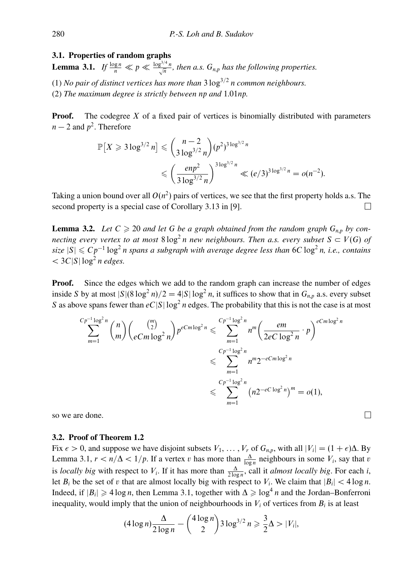## **3.1. Properties of random graphs**

**Lemma 3.1.** *If*  $\frac{\log n}{n} \ll p \ll \frac{\log^{3/4} n}{\sqrt{n}}$ , then a.s.  $G_{n,p}$  has the following properties.

(1) *No pair of distinct vertices has more than*  $3 \log^{3/2} n$  *common neighbours.* 

(2) *The maximum degree is strictly between np and* 1*.*01*np.*

**Proof.** The codegree X of a fixed pair of vertices is binomially distributed with parameters  $n-2$  and  $p^2$ . Therefore

$$
\mathbb{P}[X \ge 3 \log^{3/2} n] \le {n-2 \choose 3 \log^{3/2} n} (p^2)^{3 \log^{3/2} n} \le {e n p^2 \choose 3 \log^{3/2} n} \le (e/3)^{3 \log^{3/2} n} = o(n^{-2}).
$$

Taking a union bound over all  $O(n^2)$  pairs of vertices, we see that the first property holds a.s. The second property is a special case of Corollary 3.13 in [9].  $\Box$ 

**Lemma 3.2.** Let  $C \geq 20$  and let G be a graph obtained from the random graph  $G_{n,p}$  by con*necting every vertex to at most*  $8 \log^2 n$  *new neighbours. Then a.s. every subset*  $S \subset V(G)$  *of size*  $|S| \leq Cp^{-1} \log^2 n$  *spans a subgraph with average degree less than* 6*C* log<sup>2</sup> *n*, *i.e., contains*  $<$  3*C*|*S*| log<sup>2</sup> *n edges.* 

**Proof.** Since the edges which we add to the random graph can increase the number of edges inside *S* by at most  $|S|(8 \log^2 n)/2 = 4|S| \log^2 n$ , it suffices to show that in  $G_{n,p}$  a.s. every subset *S* as above spans fewer than  $eC|S|\log^2 n$  edges. The probability that this is not the case is at most

$$
\sum_{m=1}^{Cp^{-1}\log^2 n} \binom{n}{m} \binom{\binom{m}{2}}{eCm\log^2 n} p^{eCm\log^2 n} \leq \sum_{m=1}^{Cp^{-1}\log^2 n} n^m \left(\frac{em}{2eC\log^2 n} \cdot p\right)^{eCm\log^2 n}
$$
  

$$
\leq \sum_{m=1}^{Cp^{-1}\log^2 n} n^m 2^{-eCm\log^2 n}
$$
  

$$
\leq \sum_{m=1}^{Cp^{-1}\log^2 n} \left(n 2^{-eC\log^2 n}\right)^m = o(1),
$$

 $\Box$ 

so we are done.

## **3.2. Proof of Theorem 1.2**

Fix  $\epsilon > 0$ , and suppose we have disjoint subsets  $V_1, \ldots, V_r$  of  $G_{n,p}$ , with all  $|V_i| = (1 + \epsilon)\Delta$ . By Lemma 3.1,  $r < n/\Delta < 1/p$ . If a vertex *v* has more than  $\frac{\Delta}{\log n}$  neighbours in some  $V_i$ , say that *v* is *locally big* with respect to *V<sub>i</sub>*. If it has more than  $\frac{\Delta}{2 \log n}$ , call it *almost locally big*. For each *i*, let  $B_i$  be the set of *v* that are almost locally big with respect to  $V_i$ . We claim that  $|B_i| < 4 \log n$ . Indeed, if  $|B_i| \geq 4 \log n$ , then Lemma 3.1, together with  $\Delta \geq \log^4 n$  and the Jordan–Bonferroni inequality, would imply that the union of neighbourhoods in  $V_i$  of vertices from  $B_i$  is at least

$$
(4\log n)\frac{\Delta}{2\log n}-\binom{4\log n}{2}3\log^{3/2}n\geqslant\frac{3}{2}\Delta>|V_i|,
$$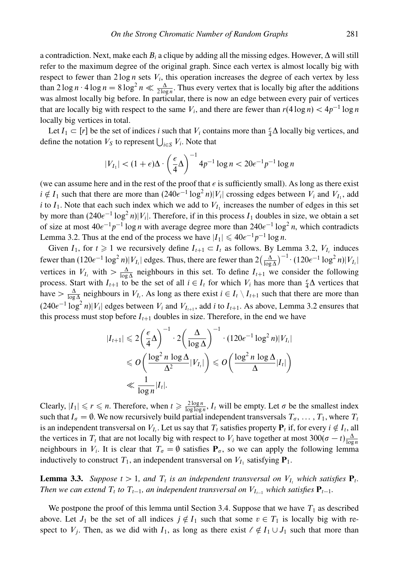a contradiction. Next, make each *Bi* a clique by adding all the missing edges. However, ∆ will still refer to the maximum degree of the original graph. Since each vertex is almost locally big with respect to fewer than  $2 \log n$  sets  $V_i$ , this operation increases the degree of each vertex by less than  $2 \log n \cdot 4 \log n = 8 \log^2 n \ll \frac{\Delta}{2 \log n}$ . Thus every vertex that is locally big after the additions was almost locally big before. In particular, there is now an edge between every pair of vertices that are locally big with respect to the same  $V_i$ , and there are fewer than  $r(4 \log n) < 4p^{-1} \log n$ locally big vertices in total.

Let *I*<sub>1</sub>  $\subset$  [*r*] be the set of indices *i* such that *V<sub>i</sub>* contains more than  $\frac{\epsilon}{4}\Delta$  locally big vertices, and define the notation  $V_S$  to represent  $\bigcup_{i \in S} V_i$ . Note that

$$
|V_{I_1}| < (1+\epsilon)\Delta \cdot \left(\frac{\epsilon}{4}\Delta\right)^{-1} 4p^{-1} \log n < 20\epsilon^{-1} p^{-1} \log n
$$

(we can assume here and in the rest of the proof that  $\epsilon$  is sufficiently small). As long as there exist *i* ∉ *I*<sub>1</sub> such that there are more than  $(240e^{-1} \log^2 n)|V_i|$  crossing edges between  $V_i$  and  $V_{I_1}$ , add *i* to  $I_1$ . Note that each such index which we add to  $V_{I_1}$  increases the number of edges in this set by more than  $(240e^{-1} \log^2 n)|V_i|$ . Therefore, if in this process  $I_1$  doubles in size, we obtain a set of size at most  $40\epsilon^{-1}p^{-1}\log n$  with average degree more than  $240\epsilon^{-1}\log^2 n$ , which contradicts Lemma 3.2. Thus at the end of the process we have  $|I_1| \leq 40\epsilon^{-1}p^{-1}\log n$ .

Given *I*<sub>1</sub>, for *t*  $\geq$  1 we recursively define *I*<sub>*t*+1</sub> ⊂ *I*<sub>*t*</sub> as follows. By Lemma 3.2, *V*<sub>*I*</sub> induces fewer than  $(120e^{-1} \log^2 n)|V_{I_t}|$  edges. Thus, there are fewer than  $2(\frac{\Delta}{\log \Delta})^{-1} \cdot (120e^{-1} \log^2 n)|V_{I_t}|$ vertices in  $V_{I_t}$  with  $> \frac{\Delta}{\log \Delta}$  neighbours in this set. To define  $I_{t+1}$  we consider the following process. Start with  $I_{t+1}$  to be the set of all  $i \in I_t$  for which  $V_i$  has more than  $\frac{\epsilon}{4}\Delta$  vertices that have  $> \frac{\Delta}{\log \Delta}$  neighbours in  $V_{I_t}$ . As long as there exist  $i \in I_t \setminus I_{t+1}$  such that there are more than  $(240e^{-1} \log^2 n)|V_i|$  edges between  $V_i$  and  $V_{I_{t+1}}$ , add *i* to  $I_{t+1}$ . As above, Lemma 3.2 ensures that this process must stop before  $I_{t+1}$  doubles in size. Therefore, in the end we have

$$
|I_{t+1}| \leq 2\left(\frac{\epsilon}{4}\Delta\right)^{-1} \cdot 2\left(\frac{\Delta}{\log\Delta}\right)^{-1} \cdot (120\epsilon^{-1}\log^2 n)|V_{I_t}|
$$
  
\$\leq O\left(\frac{\log^2 n \log \Delta}{\Delta^2}|V\_{I\_t}|\right) \leq O\left(\frac{\log^2 n \log \Delta}{\Delta}|I\_t|\right)\$  
\$\leq \frac{1}{\log n}|I\_t|.

Clearly,  $|I_1| \le r \le n$ . Therefore, when  $t \ge \frac{2\log n}{\log \log n}$ ,  $I_t$  will be empty. Let  $\sigma$  be the smallest index such that  $I_q = \emptyset$ . We now recursively build partial independent transversals  $T_q, \ldots, T_1$ , where  $T_t$ is an independent transversal on  $V_I$ . Let us say that  $T_t$  satisfies property  $P_t$  if, for every  $i \notin I_t$ , all the vertices in  $T_t$  that are not locally big with respect to  $V_i$  have together at most  $300(\sigma - t) \frac{\Delta}{\log n}$ neighbours in  $V_i$ . It is clear that  $T_\sigma = \emptyset$  satisfies  $P_\sigma$ , so we can apply the following lemma inductively to construct  $T_1$ , an independent transversal on  $V_{I_1}$  satisfying  $P_1$ .

**Lemma 3.3.** *Suppose*  $t > 1$ *, and*  $T_t$  *is an independent transversal on*  $V_t$ *, which satisfies*  $P_t$ *. Then we can extend*  $T_t$  *to*  $T_{t-1}$ *, an independent transversal on*  $V_{I_{t-1}}$ *which satisfies*  $P_{t-1}$ *.* 

We postpone the proof of this lemma until Section 3.4. Suppose that we have  $T_1$  as described above. Let  $J_1$  be the set of all indices  $j \notin I_1$  such that some  $v \in T_1$  is locally big with respect to  $V_i$ . Then, as we did with  $I_1$ , as long as there exist  $\ell \notin I_1 \cup J_1$  such that more than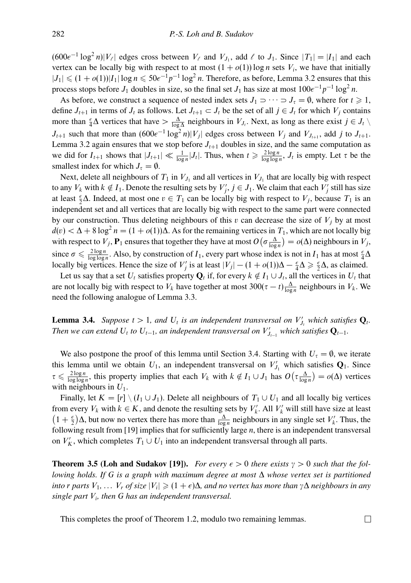$(600e^{-1} \log^2 n)|V_\ell|$  edges cross between  $V_\ell$  and  $V_{J_1}$ , add  $\ell$  to  $J_1$ . Since  $|T_1| = |I_1|$  and each vertex can be locally big with respect to at most  $(1 + o(1)) \log n$  sets  $V_i$ , we have that initially  $|J_1| \leq (1 + o(1))|I_1| \log n \leq 50e^{-1}p^{-1} \log^2 n$ . Therefore, as before, Lemma 3.2 ensures that this process stops before *J*<sub>1</sub> doubles in size, so the final set *J*<sub>1</sub> has size at most  $100e^{-1}p^{-1}\log^2 n$ .

As before, we construct a sequence of nested index sets  $J_1 \supset \cdots \supset J_\tau = \emptyset$ , where for  $t \geq 1$ , define  $J_{t+1}$  in terms of  $J_t$  as follows. Let  $J_{t+1} \subset J_t$  be the set of all  $j \in J_t$  for which  $V_j$  contains more than  $\frac{\epsilon}{4}\Delta$  vertices that have  $> \frac{\Delta}{\log \Delta}$  neighbours in  $V_{J_t}$ . Next, as long as there exist  $j \in J_t \setminus J_t$ *J<sub>t+1</sub>* such that more than  $(600e^{-1} \log^2 n)|V_j|$  edges cross between  $V_j$  and  $V_{J_{t+1}}$ , add *j* to  $J_{t+1}$ . Lemma 3.2 again ensures that we stop before  $J<sub>t+1</sub>$  doubles in size, and the same computation as we did for  $I_{t+1}$  shows that  $|J_{t+1}| \ll \frac{1}{\log n} |J_t|$ . Thus, when  $t \geq \frac{2\log n}{\log \log n}$ ,  $J_t$  is empty. Let  $\tau$  be the smallest index for which  $J_{\tau} = \emptyset$ .

Next, delete all neighbours of  $T_1$  in  $V_{J_1}$  and all vertices in  $V_{J_1}$  that are locally big with respect to any  $V_k$  with  $k \notin I_1$ . Denote the resulting sets by  $V'_j$ ,  $j \in J_1$ . We claim that each  $V'_j$  still has size at least  $\frac{\epsilon}{2}\Delta$ . Indeed, at most one  $v \in T_1$  can be locally big with respect to  $V_j$ , because  $T_1$  is an independent set and all vertices that are locally big with respect to the same part were connected by our construction. Thus deleting neighbours of this  $v$  can decrease the size of  $V_i$  by at most  $d(v) < \Delta + 8 \log^2 n = (1 + o(1))\Delta$ . As for the remaining vertices in  $T_1$ , which are not locally big with respect to  $V_j$ ,  $P_1$  ensures that together they have at most  $O(\sigma \frac{\Delta}{\log n}) = o(\Delta)$  neighbours in  $V_j$ , since  $\sigma \le \frac{2\log n}{\log \log n}$ . Also, by construction of *I*<sub>1</sub>, every part whose index is not in *I*<sub>1</sub> has at most  $\frac{\epsilon}{4}\Delta$ locally big vertices. Hence the size of *V*<sup>*j*</sup> is at least  $|V_j| - (1 + o(1))\Delta - \frac{\epsilon}{4}\Delta \ge \frac{\epsilon}{2}\Delta$ , as claimed.

Let us say that a set  $U_t$  satisfies property  $\mathbf{Q}_t$  if, for every  $k \notin I_1 \cup J_t$ , all the vertices in  $U_t$  that are not locally big with respect to  $V_k$  have together at most  $300(\tau - t) \frac{\Delta}{\log n}$  neighbours in  $V_k$ . We need the following analogue of Lemma 3.3.

**Lemma 3.4.** *Suppose*  $t > 1$ *, and*  $U_t$  *is an independent transversal on*  $V'_{J_t}$  *which satisfies*  $Q_t$ *. Then we can extend*  $U_t$  *to*  $U_{t-1}$ *, an independent transversal on*  $V'_{J_{t-1}}$  *which satisfies*  $\mathbf{Q}_{t-1}$ *.* 

We also postpone the proof of this lemma until Section 3.4. Starting with  $U_\tau = \emptyset$ , we iterate this lemma until we obtain  $U_1$ , an independent transversal on  $V'_{J_1}$  which satisfies  $Q_1$ . Since  $\tau \leq \frac{2\log n}{\log \log n}$ , this property implies that each *V<sub>k</sub>* with  $k \notin I_1 \cup J_1$  has  $O(\tau \frac{\Delta}{\log n}) = o(\Delta)$  vertices with neighbours in *U*1.

Finally, let  $K = [r] \setminus (I_1 \cup J_1)$ . Delete all neighbours of  $T_1 \cup U_1$  and all locally big vertices from every  $V_k$  with  $k \in K$ , and denote the resulting sets by  $V'_k$ . All  $V'_k$  will still have size at least  $(1 + \frac{\epsilon}{2})\Delta$ , but now no vertex there has more than  $\frac{\Delta}{\log n}$  neighbours in any single set *V*<sup>'</sup><sub>k</sub>. Thus, the following result from [19] implies that for sufficiently large *n*, there is an independent transversal on  $V'_K$ , which completes  $T_1 \cup U_1$  into an independent transversal through all parts.

**Theorem 3.5 (Loh and Sudakov [19]).** *For every*  $\epsilon > 0$  *there exists*  $\gamma > 0$  *such that the following holds. If G is a graph with maximum degree at most* ∆ *whose vertex set is partitioned*  $i$ *nto*  $r$  *parts*  $V_1, \ldots V_r$  *of size*  $|V_i| \geqslant (1+\epsilon)\Delta$ *, and no vertex has more than*  $\gamma\Delta$  *neighbours in any single part Vi, then G has an independent transversal.*

 $\Box$ 

This completes the proof of Theorem 1.2, modulo two remaining lemmas.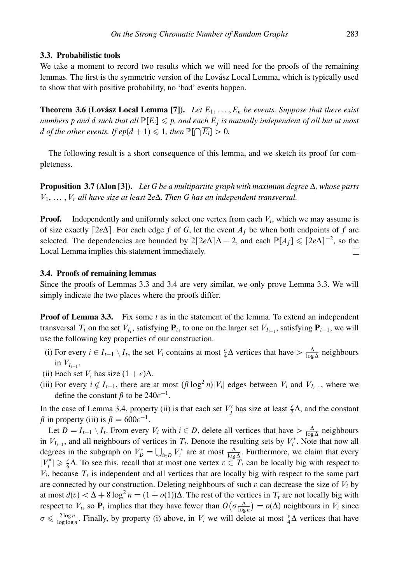### **3.3. Probabilistic tools**

We take a moment to record two results which we will need for the proofs of the remaining lemmas. The first is the symmetric version of the Lovász Local Lemma, which is typically used to show that with positive probability, no 'bad' events happen.

**Theorem 3.6 (Lovász Local Lemma [7]).** Let  $E_1, \ldots, E_n$  be events. Suppose that there exist *numbers* p and *d* such that all  $\mathbb{P}[E_i] \leq p$ , and each  $E_j$  is mutually independent of all but at most *d* of the other events. If  $ep(d+1) \leqslant 1$ , then  $\mathbb{P}[\bigcap \overline{E_i}] > 0$ .

The following result is a short consequence of this lemma, and we sketch its proof for completeness.

**Proposition 3.7 (Alon [3]).** *Let G be a multipartite graph with maximum degree* ∆*, whose parts V*1*, ... ,Vr all have size at least* 2*e*∆*. Then G has an independent transversal.*

**Proof.** Independently and uniformly select one vertex from each  $V_i$ , which we may assume is of size exactly  $[2e\Delta]$ . For each edge *f* of *G*, let the event  $A_f$  be when both endpoints of *f* are selected. The dependencies are bounded by  $2[2e\Delta]\Delta - 2$ , and each  $\mathbb{P}[A_f] \leq 2e\Delta^{-2}$ , so the Local Lemma implies this statement immediately.  $\Box$ 

### **3.4. Proofs of remaining lemmas**

Since the proofs of Lemmas 3.3 and 3.4 are very similar, we only prove Lemma 3.3. We will simply indicate the two places where the proofs differ.

**Proof of Lemma 3.3.** Fix some *t* as in the statement of the lemma. To extend an independent transversal  $T_t$  on the set  $V_t$ , satisfying  $P_t$ , to one on the larger set  $V_{t-1}$ , satisfying  $P_{t-1}$ , we will use the following key properties of our construction.

- (i) For every  $i \in I_{t-1} \setminus I_t$ , the set  $V_i$  contains at most  $\frac{\epsilon}{4}\Delta$  vertices that have  $> \frac{\Delta}{\log \Delta}$  neighbours in  $V_{I_{t-1}}$ .
- (ii) Each set  $V_i$  has size  $(1 + \epsilon)\Delta$ .
- (iii) For every  $i \notin I_{t-1}$ , there are at most  $(\beta \log^2 n)|V_i|$  edges between  $V_i$  and  $V_{I_{t-1}}$ , where we define the constant  $\beta$  to be  $240e^{-1}$ .

In the case of Lemma 3.4, property (ii) is that each set  $V'_j$  has size at least  $\frac{1}{2}\Delta$ , and the constant  $\beta$  in property (iii) is  $\beta = 600e^{-1}$ .

Let  $D = I_{t-1} \setminus I_t$ . From every  $V_i$  with  $i \in D$ , delete all vertices that have  $> \frac{\Delta}{\log \Delta}$  neighbours in  $V_{I_{t-1}}$ , and all neighbours of vertices in  $T_t$ . Denote the resulting sets by  $V_i^*$ . Note that now all degrees in the subgraph on  $V_D^* = \bigcup_{i \in D} V_i^*$  are at most  $\frac{\Delta}{\log \Delta}$ . Furthermore, we claim that every  $|V_i^*| \geq \frac{\epsilon}{6}\Delta$ . To see this, recall that at most one vertex  $v \in T_t$  can be locally big with respect to  $V_i$ , because  $T_i$  is independent and all vertices that are locally big with respect to the same part are connected by our construction. Deleting neighbours of such  $v$  can decrease the size of  $V_i$  by at most  $d(v) < \Delta + 8 \log^2 n = (1 + o(1))\Delta$ . The rest of the vertices in  $T_t$  are not locally big with respect to *V<sub>i</sub>*, so  $P_t$  implies that they have fewer than  $O(\sigma \frac{\Delta}{\log n}) = o(\Delta)$  neighbours in *V<sub>i</sub>* since  $\sigma \leq \frac{2\log n}{\log \log n}$ . Finally, by property (i) above, in *V<sub>i</sub>* we will delete at most  $\frac{\epsilon}{4}\Delta$  vertices that have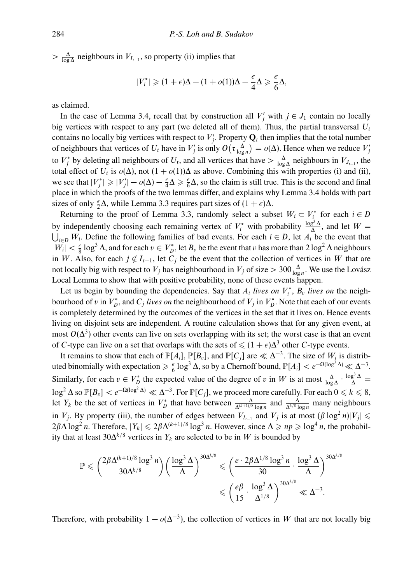$> \frac{\Delta}{\log \Delta}$  neighbours in *V*<sub>*I*<sup> $I$ </sup><sub>*I*</sub><sup> $I$ </sup>, so property (ii) implies that</sub>

$$
|V_i^*| \geqslant (1+\epsilon)\Delta - (1+o(1))\Delta - \frac{\epsilon}{4}\Delta \geqslant \frac{\epsilon}{6}\Delta,
$$

as claimed.

In the case of Lemma 3.4, recall that by construction all  $V'_j$  with  $j \in J_1$  contain no locally big vertices with respect to any part (we deleted all of them). Thus, the partial transversal  $U_t$ contains no locally big vertices with respect to  $V'_j$ . Property  $\mathbf{Q}_t$  then implies that the total number of neighbours that vertices of  $U_t$  have in  $V'_j$  is only  $O(\tau \frac{\Delta}{\log n}) = o(\Delta)$ . Hence when we reduce  $V'_j$ to *V*<sup>\*</sup><sub>*j*</sub> by deleting all neighbours of *U*<sub>t</sub>, and all vertices that have  $> \frac{\Delta}{\log \Delta}$  neighbours in *V*<sub>*J*<sub>*t*−1</sub></sub>, the total effect of  $U_t$  is  $o(\Delta)$ , not  $(1 + o(1))\Delta$  as above. Combining this with properties (i) and (ii), we see that  $|V_j^*| \ge |V_j'| - o(\Delta) - \frac{\epsilon}{4}\Delta \ge \frac{\epsilon}{6}\Delta$ , so the claim is still true. This is the second and final place in which the proofs of the two lemmas differ, and explains why Lemma 3.4 holds with part sizes of only  $\frac{\epsilon}{2}\Delta$ , while Lemma 3.3 requires part sizes of  $(1 + \epsilon)\Delta$ .

Returning to the proof of Lemma 3.3, randomly select a subset  $W_i \subset V_i^*$  for each  $i \in D$ by independently choosing each remaining vertex of  $V_i^*$  with probability  $\frac{\log^3 \Delta}{\Delta}$ , and let  $W =$  $\bigcup_{i\in D} W_i$ . Define the following families of bad events. For each  $i \in D$ , let  $A_i$  be the event that  $|W_i| < \frac{\epsilon}{8} \log^3 \Delta$ , and for each  $v \in V_D^*$ , let  $B_v$  be the event that *v* has more than 2 log<sup>2</sup> ∆ neighbours in *W*. Also, for each  $j \notin I_{t-1}$ , let  $C_j$  be the event that the collection of vertices in *W* that are not locally big with respect to *V<sub>j</sub>* has neighbourhood in *V<sub>j</sub>* of size >  $300\frac{\Delta}{\log n}$ . We use the Lovász Local Lemma to show that with positive probability, none of these events happen.

Let us begin by bounding the dependencies. Say that  $A_i$  *lives on*  $V_i^*$ ,  $B_v$  *lives on* the neighbourhood of *v* in  $V_D^*$ , and  $C_j$  *lives on* the neighbourhood of  $V_j$  in  $V_D^*$ . Note that each of our events is completely determined by the outcomes of the vertices in the set that it lives on. Hence events living on disjoint sets are independent. A routine calculation shows that for any given event, at most  $O(\Delta^3)$  other events can live on sets overlapping with its set; the worst case is that an event of *C*-type can live on a set that overlaps with the sets of  $\leq (1 + \epsilon)\Delta^3$  other *C*-type events.

It remains to show that each of  $\mathbb{P}[A_i]$ ,  $\mathbb{P}[B_v]$ , and  $\mathbb{P}[C_i]$  are  $\ll \Delta^{-3}$ . The size of  $W_i$  is distributed binomially with expectation  $\geq \frac{\epsilon}{6} \log^3 \Delta$ , so by a Chernoff bound,  $\mathbb{P}[A_i] < e^{-\Omega(\log^3 \Delta)} \ll \Delta^{-3}$ . Similarly, for each  $v \in V_D^*$  the expected value of the degree of *v* in *W* is at most  $\frac{\Delta}{\log \Delta} \cdot \frac{\log^3 \Delta}{\Delta} =$ log<sup>2</sup>  $\Delta$  so  $\mathbb{P}[B_v] < e^{-\Omega(\log^2 \Delta)} \ll \Delta^{-3}$ . For  $\mathbb{P}[C_j]$ , we proceed more carefully. For each  $0 \le k \le 8$ , let *Y<sub>k</sub>* be the set of vertices in  $V_D^*$  that have between  $\frac{\Delta}{\Delta^{(k+1)/8} \log n}$  and  $\frac{\Delta}{\Delta^{k/8} \log n}$  many neighbours in *V<sub>j</sub>*. By property (iii), the number of edges between *V*<sub>*I*<sub>*l*−1</sub> and *V<sub>j</sub>* is at most  $(\beta \log^2 n)|V_j| \le$ </sub>  $2\beta\Delta\log^2 n$ . Therefore,  $|Y_k| \leq 2\beta\Delta^{(k+1)/8}\log^3 n$ . However, since  $\Delta \geq n_p \geq \log^4 n$ , the probability that at least 30 $\Delta^{k/8}$  vertices in  $Y_k$  are selected to be in *W* is bounded by

$$
\mathbb{P} \leqslant \binom{2\beta\Delta^{(k+1)/8}\log^3n}{30\Delta^{k/8}} \left(\frac{\log^{3}\Delta}{\Delta}\right)^{30\Delta^{k/8}} \leqslant \left(\frac{e\cdot 2\beta\Delta^{1/8}\log^3n}{30}\cdot \frac{\log^{3}\Delta}{\Delta}\right)^{30\Delta^{k/8}} \leqslant \left(\frac{e\beta}{15}\cdot \frac{\log^{3}\Delta}{\Delta^{1/8}}\right)^{30\Delta^{k/8}} \ll \Delta^{-3}.
$$

Therefore, with probability  $1 - o(\Delta^{-3})$ , the collection of vertices in W that are not locally big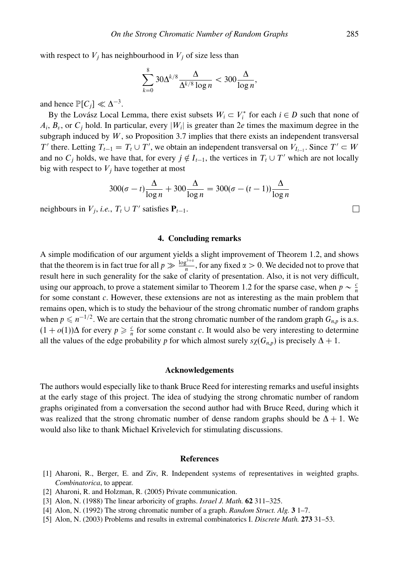with respect to  $V_j$  has neighbourhood in  $V_j$  of size less than

$$
\sum_{k=0}^{8} 30\Delta^{k/8} \frac{\Delta}{\Delta^{k/8} \log n} < 300 \frac{\Delta}{\log n},
$$

and hence  $\mathbb{P}[C_i] \ll \Delta^{-3}$ .

By the Lovász Local Lemma, there exist subsets  $W_i \subset V_i^*$  for each  $i \in D$  such that none of  $A_i$ ,  $B_i$ , or  $C_i$  hold. In particular, every  $|W_i|$  is greater than 2*e* times the maximum degree in the subgraph induced by *W*, so Proposition 3.7 implies that there exists an independent transversal *T*' there. Letting  $T_{t-1} = T_t \cup T'$ , we obtain an independent transversal on  $V_{t-1}$ . Since  $T' \subset W$ and no  $C_j$  holds, we have that, for every  $j \notin I_{t-1}$ , the vertices in  $T_t \cup T'$  which are not locally big with respect to  $V_j$  have together at most

$$
300(\sigma - t)\frac{\Delta}{\log n} + 300\frac{\Delta}{\log n} = 300(\sigma - (t - 1))\frac{\Delta}{\log n}
$$

neighbours in  $V_j$ , *i.e.*,  $T_t \cup T'$  satisfies  $P_{t-1}$ .

## **4. Concluding remarks**

A simple modification of our argument yields a slight improvement of Theorem 1.2, and shows that the theorem is in fact true for all  $p \gg \frac{\log^{3+x}}{n}$ , for any fixed  $\alpha > 0$ . We decided not to prove that result here in such generality for the sake of clarity of presentation. Also, it is not very difficult, using our approach, to prove a statement similar to Theorem 1.2 for the sparse case, when  $p \sim \frac{c}{n}$ for some constant *c*. However, these extensions are not as interesting as the main problem that remains open, which is to study the behaviour of the strong chromatic number of random graphs when  $p \le n^{-1/2}$ . We are certain that the strong chromatic number of the random graph  $G_{n,p}$  is a.s.  $(1 + o(1))\Delta$  for every  $p \ge \frac{c}{n}$  for some constant *c*. It would also be very interesting to determine all the values of the edge probability *p* for which almost surely  $s\chi(G_{n,p})$  is precisely  $\Delta + 1$ .

## **Acknowledgements**

The authors would especially like to thank Bruce Reed for interesting remarks and useful insights at the early stage of this project. The idea of studying the strong chromatic number of random graphs originated from a conversation the second author had with Bruce Reed, during which it was realized that the strong chromatic number of dense random graphs should be  $\Delta + 1$ . We would also like to thank Michael Krivelevich for stimulating discussions.

#### **References**

- [1] Aharoni, R., Berger, E. and Ziv, R. Independent systems of representatives in weighted graphs. *Combinatorica*, to appear.
- [2] Aharoni, R. and Holzman, R. (2005) Private communication.
- [3] Alon, N. (1988) The linear arboricity of graphs. *Israel J. Math.* **62** 311–325.
- [4] Alon, N. (1992) The strong chromatic number of a graph. *Random Struct. Alg.* **3** 1–7.
- [5] Alon, N. (2003) Problems and results in extremal combinatorics I. *Discrete Math.* **273** 31–53.

 $\Box$